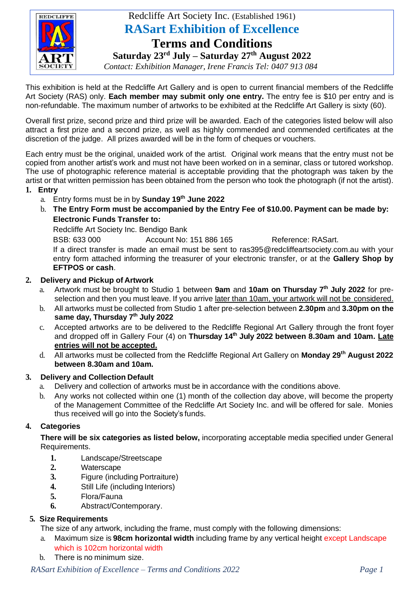

## Redcliffe Art Society Inc. (Established 1961) **RASart Exhibition of Excellence**

# **Terms and Conditions**

**Saturday 23rd July – Saturday 27th August 2022**

*Contact: Exhibition Manager, Irene Francis Tel: 0407 913 084*

This exhibition is held at the Redcliffe Art Gallery and is open to current financial members of the Redcliffe Art Society (RAS) only. **Each member may submit only one entry.** The entry fee is \$10 per entry and is non-refundable. The maximum number of artworks to be exhibited at the Redcliffe Art Gallery is sixty (60).

Overall first prize, second prize and third prize will be awarded. Each of the categories listed below will also attract a first prize and a second prize, as well as highly commended and commended certificates at the discretion of the judge. All prizes awarded will be in the form of cheques or vouchers.

Each entry must be the original, unaided work of the artist. Original work means that the entry must not be copied from another artist's work and must not have been worked on in a seminar, class or tutored workshop. The use of photographic reference material is acceptable providing that the photograph was taken by the artist or that written permission has been obtained from the person who took the photograph (if not the artist).

## **1. Entry**

- a. Entry forms must be in by **Sunday 19th June 2022**
- b. **The Entry Form must be accompanied by the Entry Fee of \$10.00. Payment can be made by: Electronic Funds Transfer to:**

Redcliffe Art Society Inc. Bendigo Bank

BSB: 633 000 Account No: 151 886 165 Reference: RASart.

If a direct transfer is made an email must be sent to ras395@redcliffeartsociety.com.au with your entry form attached informing the treasurer of your electronic transfer, or at the **Gallery Shop by EFTPOS or cash**.

## **2. Delivery and Pickup of Artwork**

- a. Artwork must be brought to Studio 1 between **9am** and **10am on Thursday 7 th July 2022** for preselection and then you must leave. If you arrive later than 10am, your artwork will not be considered.
- b. All artworks must be collected from Studio 1 after pre-selection between **2.30pm** and **3.30pm on the same day, Thursday 7 th July 2022**
- c. Accepted artworks are to be delivered to the Redcliffe Regional Art Gallery through the front foyer and dropped off in Gallery Four (4) on **Thursday 14 th July 2022 between 8.30am and 10am. Late entries will not be accepted.**
- d. All artworks must be collected from the Redcliffe Regional Art Gallery on **Monday 29 th August 2022 between 8.30am and 10am.**

## **3. Delivery and Collection Default**

- a. Delivery and collection of artworks must be in accordance with the conditions above.
- b. Any works not collected within one (1) month of the collection day above, will become the property of the Management Committee of the Redcliffe Art Society Inc. and will be offered for sale. Monies thus received will go into the Society's funds.

## **4. Categories**

**There will be six categories as listed below,** incorporating acceptable media specified under General Requirements.

- **1.** Landscape/Streetscape
- **2.** Waterscape
- **3.** Figure (including Portraiture)
- **4.** Still Life (including Interiors)
- **5.** Flora/Fauna
- **6.** Abstract/Contemporary.

#### **5. Size Requirements**

The size of any artwork, including the frame, must comply with the following dimensions:

- a. Maximum size is **98cm horizontal width** including frame by any vertical height except Landscape which is 102cm horizontal width
- b. There is no minimum size.